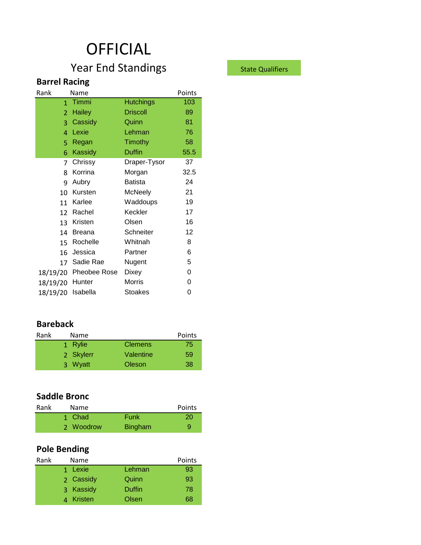# **OFFICIAL**

# Year End Standings State Qualifiers

### **Barrel Racing**

| 103  |
|------|
| 89   |
| 81   |
| 76   |
| 58   |
| 55.5 |
| 37   |
| 32.5 |
| 24   |
| 21   |
| 19   |
| 17   |
| 16   |
| 12   |
| 8    |
| 6    |
| 5    |
| 0    |
| 0    |
| 0    |
|      |

#### **Bareback**

| Rank | Name      |                | Points |  |
|------|-----------|----------------|--------|--|
|      | 1 Rylie   | <b>Clemens</b> | 75)    |  |
|      | 2 Skylerr | Valentine      | 59     |  |
|      | 3 Wyatt   | Oleson         | 38     |  |

#### **Saddle Bronc**

| Rank | Name      |                | Points    |
|------|-----------|----------------|-----------|
|      | 1 Chad    | Funk           | <b>20</b> |
|      | 2 Woodrow | <b>Bingham</b> | 9         |

# **Pole Bending**

| Rank | Name      |        | Points |
|------|-----------|--------|--------|
|      | 1 Lexie   | Lehman | 93     |
|      | 2 Cassidy | Quinn  | 93     |
|      | 3 Kassidy | Duffin | 78     |
|      | 4 Kristen | Olsen  | 68     |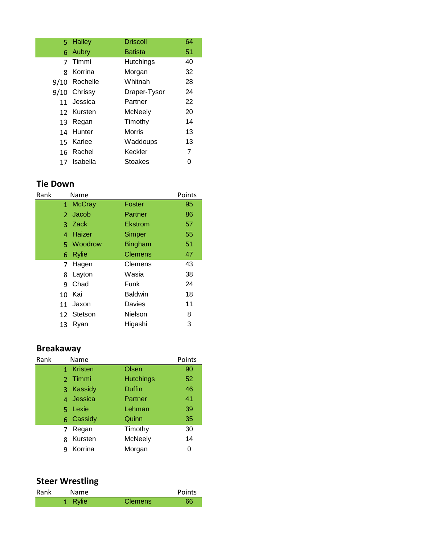| 5.   | Hailey       | <b>Driscoll</b> | 64 |
|------|--------------|-----------------|----|
|      |              |                 |    |
| 6    | Aubry        | <b>Batista</b>  | 51 |
| 7    | Timmi        | Hutchings       | 40 |
| ጰ    | Korrina      | Morgan          | 32 |
| 9/10 | Rochelle     | Whitnah         | 28 |
|      | 9/10 Chrissy | Draper-Tysor    | 24 |
|      | 11 Jessica   | Partner         | 22 |
|      | 12 Kursten   | McNeely         | 20 |
| 13   | Regan        | Timothy         | 14 |
| 14   | Hunter       | Morris          | 13 |
| 15   | Karlee       | Waddoups        | 13 |
| 16   | Rachel       | Keckler         | 7  |
| 17   | Isabella     | Stoakes         |    |

#### **Tie Down**

| Rank             | Name          | Points         |    |
|------------------|---------------|----------------|----|
| $\mathbf{1}$     | <b>McCray</b> | Foster         | 95 |
| $\mathcal{P}$    | Jacob         | Partner        | 86 |
| 3                | Zack          | Ekstrom        | 57 |
| 4                | Haizer        | Simper         | 55 |
| 5.               | Woodrow       | <b>Bingham</b> | 51 |
| 6                | <b>Rylie</b>  | <b>Clemens</b> | 47 |
| 7                | Hagen         | Clemens        | 43 |
| 8                | Layton        | Wasia          | 38 |
| q                | Chad          | Funk           | 24 |
| 10 <sup>1</sup>  | Kai           | <b>Baldwin</b> | 18 |
| 11               | Jaxon         | Davies         | 11 |
| 12 <sup>12</sup> | Stetson       | Nielson        | 8  |
| 13               | Ryan          | Higashi        | 3  |

#### **Breakaway**

| Rank | Name                    |                  | Points |
|------|-------------------------|------------------|--------|
|      | 1 Kristen               | Olsen            | 90     |
|      | Timmi<br>$\mathcal{P}$  | <b>Hutchings</b> | 52     |
|      | 3 Kassidy               | <b>Duffin</b>    | 46     |
|      | 4 Jessica               | Partner          | 41     |
|      | 5 Lexie                 | Lehman           | 39     |
|      | 6 Cassidy               | Quinn            | 35     |
|      | Regan<br>$\overline{7}$ | Timothy          | 30     |
|      | Kursten                 | <b>McNeely</b>   | 14     |
|      | Korrina<br>q            | Morgan           | 0      |

#### **Steer Wrestling**

| Rank | Name         |                | Points |
|------|--------------|----------------|--------|
|      | <b>Rylie</b> | <b>Clemens</b> | 66     |